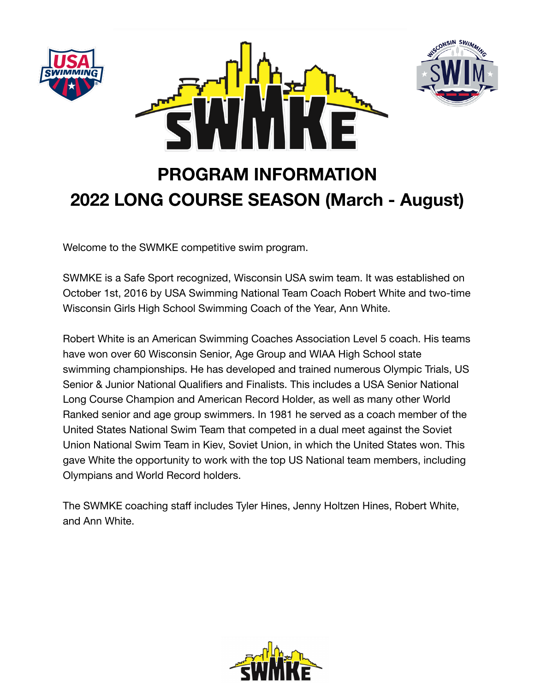





# **PROGRAM INFORMATION 2022 LONG COURSE SEASON (March - August)**

Welcome to the SWMKE competitive swim program.

SWMKE is a Safe Sport recognized, Wisconsin USA swim team. It was established on October 1st, 2016 by USA Swimming National Team Coach Robert White and two-time Wisconsin Girls High School Swimming Coach of the Year, Ann White.

Robert White is an American Swimming Coaches Association Level 5 coach. His teams have won over 60 Wisconsin Senior, Age Group and WIAA High School state swimming championships. He has developed and trained numerous Olympic Trials, US Senior & Junior National Qualifiers and Finalists. This includes a USA Senior National Long Course Champion and American Record Holder, as well as many other World Ranked senior and age group swimmers. In 1981 he served as a coach member of the United States National Swim Team that competed in a dual meet against the Soviet Union National Swim Team in Kiev, Soviet Union, in which the United States won. This gave White the opportunity to work with the top US National team members, including Olympians and World Record holders.

The SWMKE coaching staff includes Tyler Hines, Jenny Holtzen Hines, Robert White, and Ann White.

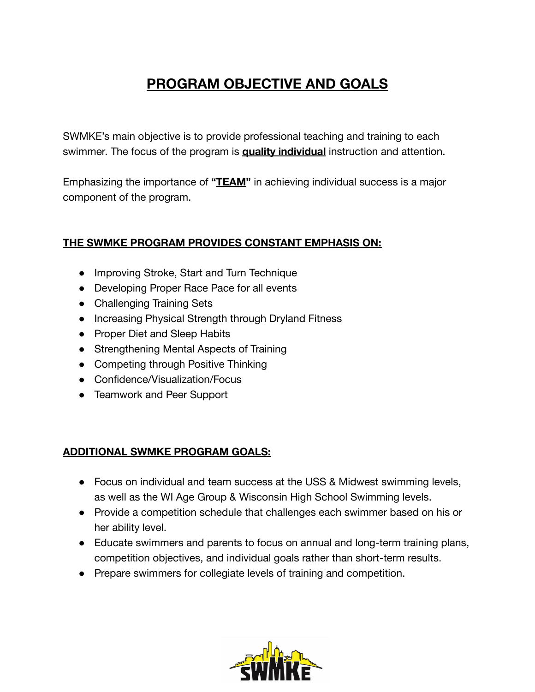## **PROGRAM OBJECTIVE AND GOALS**

SWMKE's main objective is to provide professional teaching and training to each swimmer. The focus of the program is **quality individual** instruction and attention.

Emphasizing the importance of **"TEAM"** in achieving individual success is a major component of the program.

### **THE SWMKE PROGRAM PROVIDES CONSTANT EMPHASIS ON:**

- Improving Stroke, Start and Turn Technique
- Developing Proper Race Pace for all events
- Challenging Training Sets
- Increasing Physical Strength through Dryland Fitness
- Proper Diet and Sleep Habits
- Strengthening Mental Aspects of Training
- Competing through Positive Thinking
- Confidence/Visualization/Focus
- Teamwork and Peer Support

### **ADDITIONAL SWMKE PROGRAM GOALS:**

- Focus on individual and team success at the USS & Midwest swimming levels, as well as the WI Age Group & Wisconsin High School Swimming levels.
- Provide a competition schedule that challenges each swimmer based on his or her ability level.
- Educate swimmers and parents to focus on annual and long-term training plans, competition objectives, and individual goals rather than short-term results.
- Prepare swimmers for collegiate levels of training and competition.

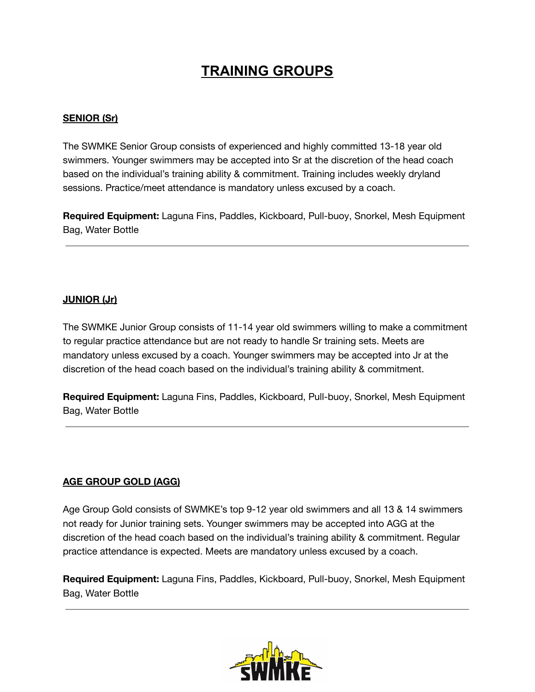## **TRAINING GROUPS**

### **SENIOR (Sr)**

The SWMKE Senior Group consists of experienced and highly committed 13-18 year old swimmers. Younger swimmers may be accepted into Sr at the discretion of the head coach based on the individual's training ability & commitment. Training includes weekly dryland sessions. Practice/meet attendance is mandatory unless excused by a coach.

**Required Equipment:** Laguna Fins, Paddles, Kickboard, Pull-buoy, Snorkel, Mesh Equipment Bag, Water Bottle

### **JUNIOR (Jr)**

The SWMKE Junior Group consists of 11-14 year old swimmers willing to make a commitment to regular practice attendance but are not ready to handle Sr training sets. Meets are mandatory unless excused by a coach. Younger swimmers may be accepted into Jr at the discretion of the head coach based on the individual's training ability & commitment.

**Required Equipment:** Laguna Fins, Paddles, Kickboard, Pull-buoy, Snorkel, Mesh Equipment Bag, Water Bottle

### **AGE GROUP GOLD (AGG)**

Age Group Gold consists of SWMKE's top 9-12 year old swimmers and all 13 & 14 swimmers not ready for Junior training sets. Younger swimmers may be accepted into AGG at the discretion of the head coach based on the individual's training ability & commitment. Regular practice attendance is expected. Meets are mandatory unless excused by a coach.

**Required Equipment:** Laguna Fins, Paddles, Kickboard, Pull-buoy, Snorkel, Mesh Equipment Bag, Water Bottle

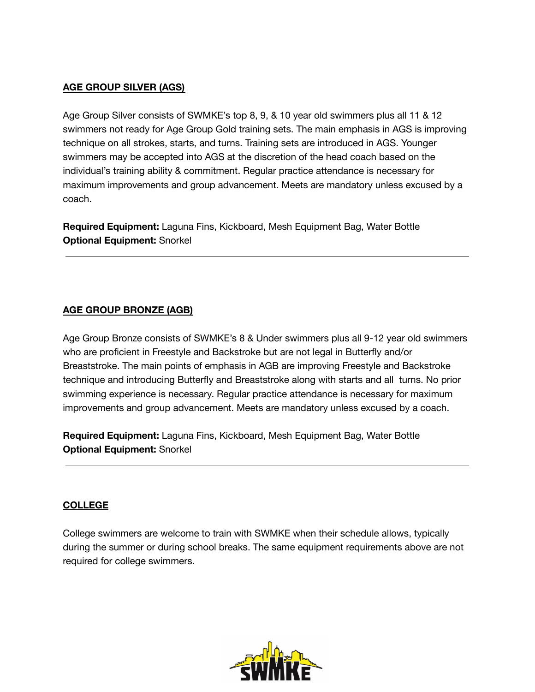#### **AGE GROUP SILVER (AGS)**

Age Group Silver consists of SWMKE's top 8, 9, & 10 year old swimmers plus all 11 & 12 swimmers not ready for Age Group Gold training sets. The main emphasis in AGS is improving technique on all strokes, starts, and turns. Training sets are introduced in AGS. Younger swimmers may be accepted into AGS at the discretion of the head coach based on the individual's training ability & commitment. Regular practice attendance is necessary for maximum improvements and group advancement. Meets are mandatory unless excused by a coach.

**Required Equipment:** Laguna Fins, Kickboard, Mesh Equipment Bag, Water Bottle **Optional Equipment:** Snorkel

#### **AGE GROUP BRONZE (AGB)**

Age Group Bronze consists of SWMKE's 8 & Under swimmers plus all 9-12 year old swimmers who are proficient in Freestyle and Backstroke but are not legal in Butterfly and/or Breaststroke. The main points of emphasis in AGB are improving Freestyle and Backstroke technique and introducing Butterfly and Breaststroke along with starts and all turns. No prior swimming experience is necessary. Regular practice attendance is necessary for maximum improvements and group advancement. Meets are mandatory unless excused by a coach.

**Required Equipment:** Laguna Fins, Kickboard, Mesh Equipment Bag, Water Bottle **Optional Equipment:** Snorkel

#### **COLLEGE**

College swimmers are welcome to train with SWMKE when their schedule allows, typically during the summer or during school breaks. The same equipment requirements above are not required for college swimmers.

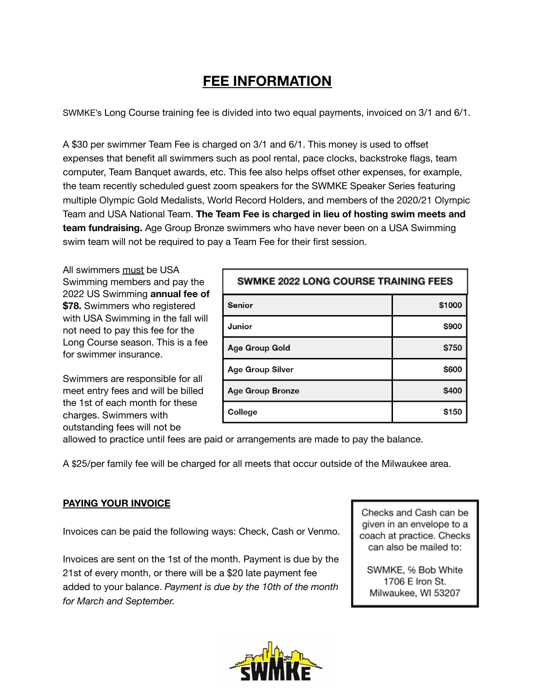## **FEE INFORMATION**

SWMKE's Long Course training fee is divided into two equal payments, invoiced on 3/1 and 6/1.

A \$30 per swimmer Team Fee is charged on 3/1 and 6/1. This money is used to offset expenses that benefit all swimmers such as pool rental, pace clocks, backstroke flags, team computer, Team Banquet awards, etc. This fee also helps offset other expenses, for example, the team recently scheduled guest zoom speakers for the SWMKE Speaker Series featuring multiple Olympic Gold Medalists, World Record Holders, and members of the 2020/21 Olympic Team and USA National Team. **The Team Fee is charged in lieu of hosting swim meets and team fundraising.** Age Group Bronze swimmers who have never been on a USA Swimming swim team will not be required to pay a Team Fee for their first session.

All swimmers must be USA Swimming members and pay the 2022 US Swimming **annual fee of \$78.** Swimmers who registered with USA Swimming in the fall will not need to pay this fee for the Long Course season. This is a fee for swimmer insurance.

Swimmers are responsible for all meet entry fees and will be billed the 1st of each month for these charges. Swimmers with outstanding fees will not be

| <b>SWMKE 2022 LONG COURSE TRAINING FEES</b> |        |
|---------------------------------------------|--------|
| <b>Senior</b>                               | \$1000 |
| Junior                                      | \$900  |
| Age Group Gold                              | \$750  |
| <b>Age Group Silver</b>                     | \$600  |
| <b>Age Group Bronze</b>                     | \$400  |
| College                                     | \$150  |

allowed to practice until fees are paid or arrangements are made to pay the balance.

A \$25/per family fee will be charged for all meets that occur outside of the Milwaukee area.

### **PAYING YOUR INVOICE**

Invoices can be paid the following ways: Check, Cash or Venmo.

Invoices are sent on the 1st of the month. Payment is due by the 21st of every month, or there will be a \$20 late payment fee added to your balance. *Payment is due by the 10th of the month for March and September.*



SWMKE, % Bob White 1706 E Iron St. Milwaukee, WI 53207

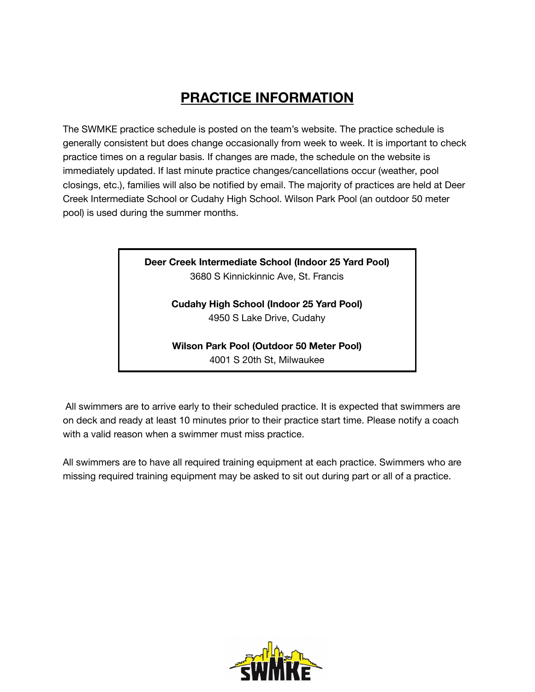## **PRACTICE INFORMATION**

The SWMKE practice schedule is posted on the team's website. The practice schedule is generally consistent but does change occasionally from week to week. It is important to check practice times on a regular basis. If changes are made, the schedule on the website is immediately updated. If last minute practice changes/cancellations occur (weather, pool closings, etc.), families will also be notified by email. The majority of practices are held at Deer Creek Intermediate School or Cudahy High School. Wilson Park Pool (an outdoor 50 meter pool) is used during the summer months.

> **Deer Creek Intermediate School (Indoor 25 Yard Pool)** 3680 S Kinnickinnic Ave, St. Francis

> > **Cudahy High School (Indoor 25 Yard Pool)** 4950 S Lake Drive, Cudahy

> > **Wilson Park Pool (Outdoor 50 Meter Pool)** 4001 S 20th St, Milwaukee

All swimmers are to arrive early to their scheduled practice. It is expected that swimmers are on deck and ready at least 10 minutes prior to their practice start time. Please notify a coach with a valid reason when a swimmer must miss practice.

All swimmers are to have all required training equipment at each practice. Swimmers who are missing required training equipment may be asked to sit out during part or all of a practice.

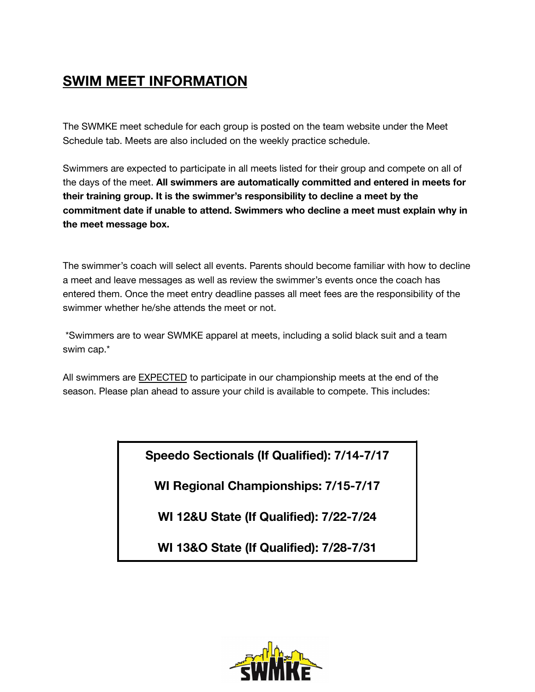## **SWIM MEET INFORMATION**

The SWMKE meet schedule for each group is posted on the team website under the Meet Schedule tab. Meets are also included on the weekly practice schedule.

Swimmers are expected to participate in all meets listed for their group and compete on all of the days of the meet. **All swimmers are automatically committed and entered in meets for their training group. It is the swimmer's responsibility to decline a meet by the commitment date if unable to attend. Swimmers who decline a meet must explain why in the meet message box.**

The swimmer's coach will select all events. Parents should become familiar with how to decline a meet and leave messages as well as review the swimmer's events once the coach has entered them. Once the meet entry deadline passes all meet fees are the responsibility of the swimmer whether he/she attends the meet or not.

\*Swimmers are to wear SWMKE apparel at meets, including a solid black suit and a team swim cap.\*

All swimmers are EXPECTED to participate in our championship meets at the end of the season. Please plan ahead to assure your child is available to compete. This includes:

**Speedo Sectionals (If Qualified): 7/14-7/17**

**WI Regional Championships: 7/15-7/17**

**WI 12&U State (If Qualified): 7/22-7/24**

**WI 13&O State (If Qualified): 7/28-7/31**

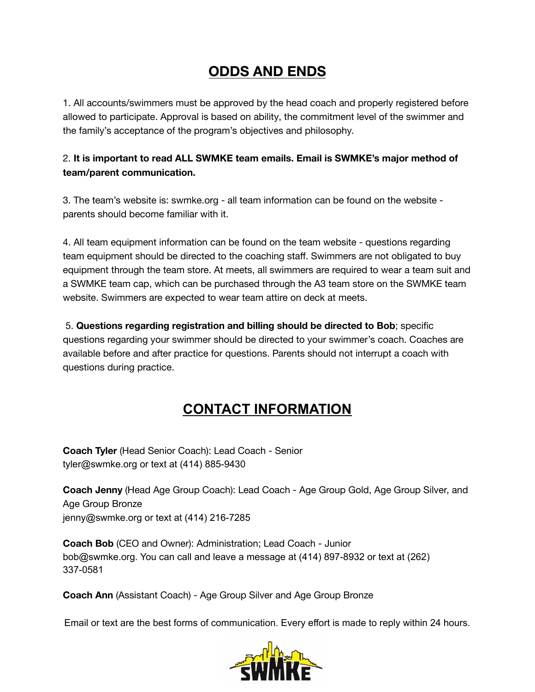## **ODDS AND ENDS**

1. All accounts/swimmers must be approved by the head coach and properly registered before allowed to participate. Approval is based on ability, the commitment level of the swimmer and the family's acceptance of the program's objectives and philosophy.

### 2. **It is important to read ALL SWMKE team emails. Email is SWMKE's major method of team/parent communication.**

3. The team's website is: swmke.org - all team information can be found on the website parents should become familiar with it.

4. All team equipment information can be found on the team website - questions regarding team equipment should be directed to the coaching staff. Swimmers are not obligated to buy equipment through the team store. At meets, all swimmers are required to wear a team suit and a SWMKE team cap, which can be purchased through the A3 team store on the SWMKE team website. Swimmers are expected to wear team attire on deck at meets.

5. **Questions regarding registration and billing should be directed to Bob**; specific questions regarding your swimmer should be directed to your swimmer's coach. Coaches are available before and after practice for questions. Parents should not interrupt a coach with questions during practice.

## **CONTACT INFORMATION**

**Coach Tyler** (Head Senior Coach): Lead Coach - Senior tyler@swmke.org or text at (414) 885-9430

**Coach Jenny** (Head Age Group Coach): Lead Coach - Age Group Gold, Age Group Silver, and Age Group Bronze jenny@swmke.org or text at (414) 216-7285

**Coach Bob** (CEO and Owner): Administration; Lead Coach - Junior bob@swmke.org. You can call and leave a message at (414) 897-8932 or text at (262) 337-0581

**Coach Ann** (Assistant Coach) - Age Group Silver and Age Group Bronze

Email or text are the best forms of communication. Every effort is made to reply within 24 hours.